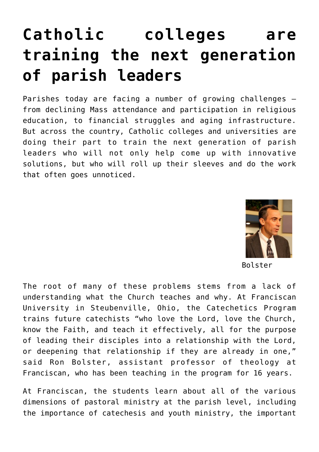# **[Catholic colleges are](https://www.osvnews.com/2021/02/24/catholic-colleges-are-training-the-next-generation-of-parish-leaders/) [training the next generation](https://www.osvnews.com/2021/02/24/catholic-colleges-are-training-the-next-generation-of-parish-leaders/) [of parish leaders](https://www.osvnews.com/2021/02/24/catholic-colleges-are-training-the-next-generation-of-parish-leaders/)**

Parishes today are facing a number of growing challenges from declining Mass attendance and participation in religious education, to financial struggles and aging infrastructure. But across the country, Catholic colleges and universities are doing their part to train the next generation of parish leaders who will not only help come up with innovative solutions, but who will roll up their sleeves and do the work that often goes unnoticed.



Bolster

The root of many of these problems stems from a lack of understanding what the Church teaches and why. At Franciscan University in Steubenville, Ohio, the Catechetics Program trains future catechists "who love the Lord, love the Church, know the Faith, and teach it effectively, all for the purpose of leading their disciples into a relationship with the Lord, or deepening that relationship if they are already in one," said Ron Bolster, assistant professor of theology at Franciscan, who has been teaching in the program for 16 years.

At Franciscan, the students learn about all of the various dimensions of pastoral ministry at the parish level, including the importance of catechesis and youth ministry, the important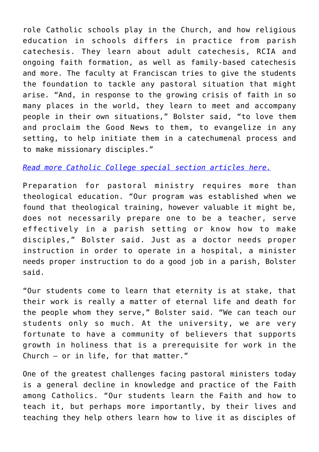role Catholic schools play in the Church, and how religious education in schools differs in practice from parish catechesis. They learn about adult catechesis, RCIA and ongoing faith formation, as well as family-based catechesis and more. The faculty at Franciscan tries to give the students the foundation to tackle any pastoral situation that might arise. "And, in response to the growing crisis of faith in so many places in the world, they learn to meet and accompany people in their own situations," Bolster said, "to love them and proclaim the Good News to them, to evangelize in any setting, to help initiate them in a catechumenal process and to make missionary disciples."

### *[Read more Catholic College special section articles here.](https://www.osvnews.com/tag/catholic-colleges-spring-2021/)*

Preparation for pastoral ministry requires more than theological education. "Our program was established when we found that theological training, however valuable it might be, does not necessarily prepare one to be a teacher, serve effectively in a parish setting or know how to make disciples," Bolster said. Just as a doctor needs proper instruction in order to operate in a hospital, a minister needs proper instruction to do a good job in a parish, Bolster said.

"Our students come to learn that eternity is at stake, that their work is really a matter of eternal life and death for the people whom they serve," Bolster said. "We can teach our students only so much. At the university, we are very fortunate to have a community of believers that supports growth in holiness that is a prerequisite for work in the Church — or in life, for that matter."

One of the greatest challenges facing pastoral ministers today is a general decline in knowledge and practice of the Faith among Catholics. "Our students learn the Faith and how to teach it, but perhaps more importantly, by their lives and teaching they help others learn how to live it as disciples of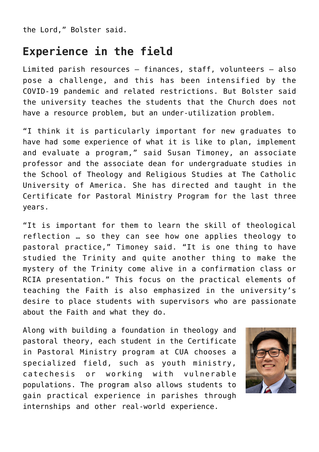the Lord," Bolster said.

## **Experience in the field**

Limited parish resources — finances, staff, volunteers — also pose a challenge, and this has been intensified by the COVID-19 pandemic and related restrictions. But Bolster said the university teaches the students that the Church does not have a resource problem, but an under-utilization problem.

"I think it is particularly important for new graduates to have had some experience of what it is like to plan, implement and evaluate a program," said Susan Timoney, an associate professor and the associate dean for undergraduate studies in the School of Theology and Religious Studies at The Catholic University of America. She has directed and taught in the Certificate for Pastoral Ministry Program for the last three years.

"It is important for them to learn the skill of theological reflection … so they can see how one applies theology to pastoral practice," Timoney said. "It is one thing to have studied the Trinity and quite another thing to make the mystery of the Trinity come alive in a confirmation class or RCIA presentation." This focus on the practical elements of teaching the Faith is also emphasized in the university's desire to place students with supervisors who are passionate about the Faith and what they do.

Along with building a foundation in theology and pastoral theory, each student in the Certificate in Pastoral Ministry program at CUA chooses a specialized field, such as youth ministry, catechesis or working with vulnerable populations. The program also allows students to gain practical experience in parishes through internships and other real-world experience.

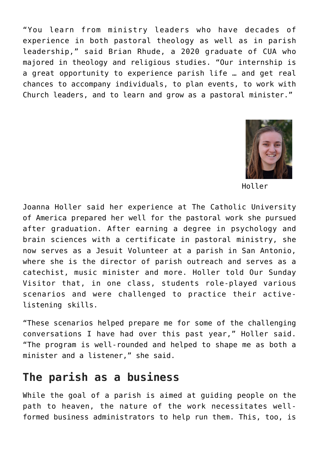"You learn from ministry leaders who have decades of experience in both pastoral theology as well as in parish leadership," said Brian Rhude, a 2020 graduate of CUA who majored in theology and religious studies. "Our internship is a great opportunity to experience parish life … and get real chances to accompany individuals, to plan events, to work with Church leaders, and to learn and grow as a pastoral minister."



Holler

Joanna Holler said her experience at The Catholic University of America prepared her well for the pastoral work she pursued after graduation. After earning a degree in psychology and brain sciences with a certificate in pastoral ministry, she now serves as a Jesuit Volunteer at a parish in San Antonio, where she is the director of parish outreach and serves as a catechist, music minister and more. Holler told Our Sunday Visitor that, in one class, students role-played various scenarios and were challenged to practice their activelistening skills.

"These scenarios helped prepare me for some of the challenging conversations I have had over this past year," Holler said. "The program is well-rounded and helped to shape me as both a minister and a listener," she said.

## **The parish as a business**

While the goal of a parish is aimed at guiding people on the path to heaven, the nature of the work necessitates wellformed business administrators to help run them. This, too, is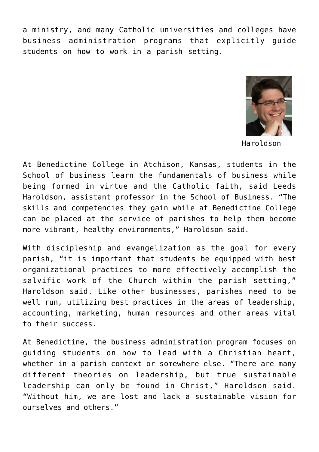a ministry, and many Catholic universities and colleges have business administration programs that explicitly guide students on how to work in a parish setting.



Haroldson

At Benedictine College in Atchison, Kansas, students in the School of business learn the fundamentals of business while being formed in virtue and the Catholic faith, said Leeds Haroldson, assistant professor in the School of Business. "The skills and competencies they gain while at Benedictine College can be placed at the service of parishes to help them become more vibrant, healthy environments," Haroldson said.

With discipleship and evangelization as the goal for every parish, "it is important that students be equipped with best organizational practices to more effectively accomplish the salvific work of the Church within the parish setting," Haroldson said. Like other businesses, parishes need to be well run, utilizing best practices in the areas of leadership, accounting, marketing, human resources and other areas vital to their success.

At Benedictine, the business administration program focuses on guiding students on how to lead with a Christian heart, whether in a parish context or somewhere else. "There are many different theories on leadership, but true sustainable leadership can only be found in Christ," Haroldson said. "Without him, we are lost and lack a sustainable vision for ourselves and others."